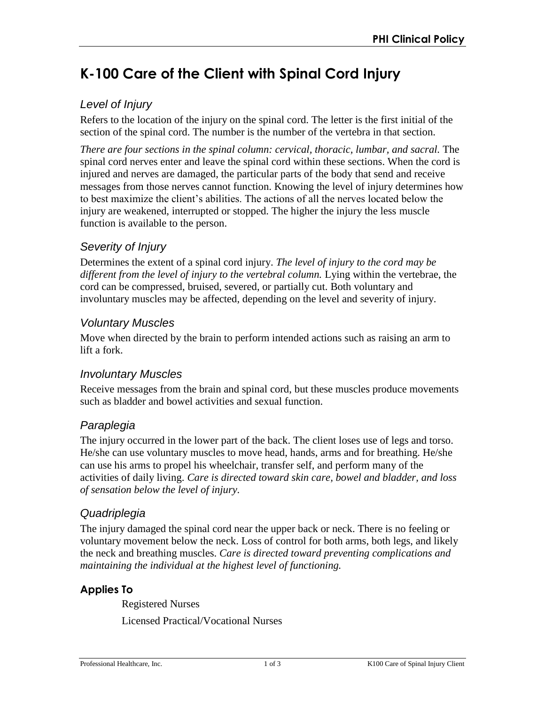# **K-100 Care of the Client with Spinal Cord Injury**

# *Level of Injury*

Refers to the location of the injury on the spinal cord. The letter is the first initial of the section of the spinal cord. The number is the number of the vertebra in that section.

*There are four sections in the spinal column: cervical, thoracic, lumbar, and sacral.* The spinal cord nerves enter and leave the spinal cord within these sections. When the cord is injured and nerves are damaged, the particular parts of the body that send and receive messages from those nerves cannot function. Knowing the level of injury determines how to best maximize the client's abilities. The actions of all the nerves located below the injury are weakened, interrupted or stopped. The higher the injury the less muscle function is available to the person.

# *Severity of Injury*

Determines the extent of a spinal cord injury. *The level of injury to the cord may be different from the level of injury to the vertebral column.* Lying within the vertebrae, the cord can be compressed, bruised, severed, or partially cut. Both voluntary and involuntary muscles may be affected, depending on the level and severity of injury.

# *Voluntary Muscles*

Move when directed by the brain to perform intended actions such as raising an arm to lift a fork.

# *Involuntary Muscles*

Receive messages from the brain and spinal cord, but these muscles produce movements such as bladder and bowel activities and sexual function.

# *Paraplegia*

The injury occurred in the lower part of the back. The client loses use of legs and torso. He/she can use voluntary muscles to move head, hands, arms and for breathing. He/she can use his arms to propel his wheelchair, transfer self, and perform many of the activities of daily living. *Care is directed toward skin care, bowel and bladder, and loss of sensation below the level of injury.*

# *Quadriplegia*

The injury damaged the spinal cord near the upper back or neck. There is no feeling or voluntary movement below the neck. Loss of control for both arms, both legs, and likely the neck and breathing muscles. *Care is directed toward preventing complications and maintaining the individual at the highest level of functioning.* 

# **Applies To**

Registered Nurses Licensed Practical/Vocational Nurses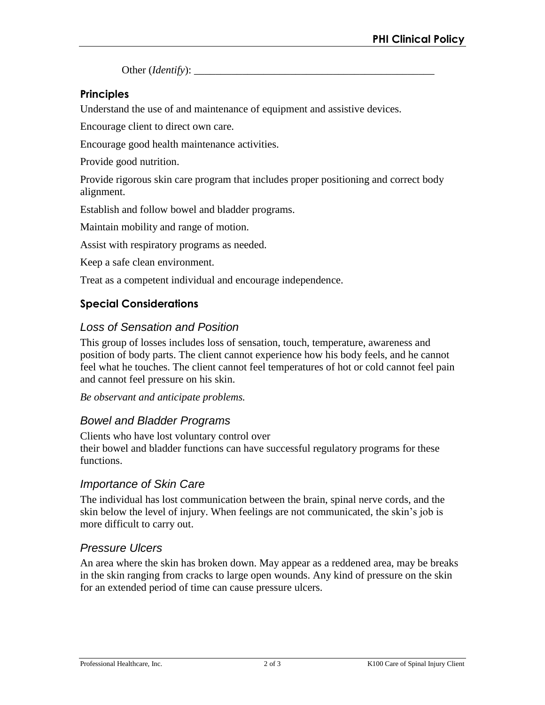Other (*Identify*):

### **Principles**

Understand the use of and maintenance of equipment and assistive devices.

Encourage client to direct own care.

Encourage good health maintenance activities.

Provide good nutrition.

Provide rigorous skin care program that includes proper positioning and correct body alignment.

Establish and follow bowel and bladder programs.

Maintain mobility and range of motion.

Assist with respiratory programs as needed.

Keep a safe clean environment.

Treat as a competent individual and encourage independence.

#### **Special Considerations**

### *Loss of Sensation and Position*

This group of losses includes loss of sensation, touch, temperature, awareness and position of body parts. The client cannot experience how his body feels, and he cannot feel what he touches. The client cannot feel temperatures of hot or cold cannot feel pain and cannot feel pressure on his skin.

*Be observant and anticipate problems.* 

#### *Bowel and Bladder Programs*

Clients who have lost voluntary control over their bowel and bladder functions can have successful regulatory programs for these functions.

#### *Importance of Skin Care*

The individual has lost communication between the brain, spinal nerve cords, and the skin below the level of injury. When feelings are not communicated, the skin's job is more difficult to carry out.

#### *Pressure Ulcers*

An area where the skin has broken down. May appear as a reddened area, may be breaks in the skin ranging from cracks to large open wounds. Any kind of pressure on the skin for an extended period of time can cause pressure ulcers.